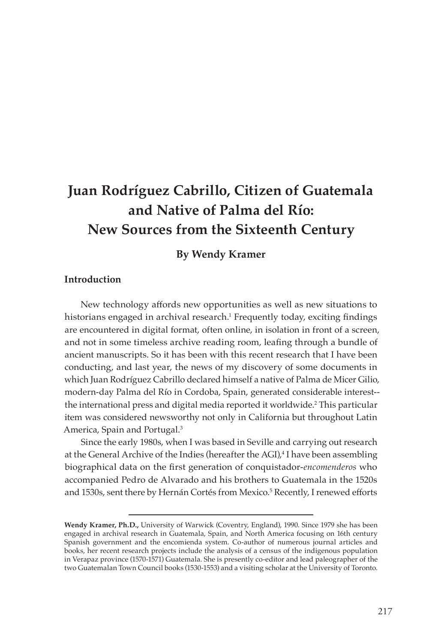# **Juan Rodríguez Cabrillo, Citizen of Guatemala and Native of Palma del Río: New Sources from the Sixteenth Century**

## **By Wendy Kramer**

#### **Introduction**

New technology affords new opportunities as well as new situations to historians engaged in archival research.1 Frequently today, exciting findings are encountered in digital format, often online, in isolation in front of a screen, and not in some timeless archive reading room, leafing through a bundle of ancient manuscripts. So it has been with this recent research that I have been conducting, and last year, the news of my discovery of some documents in which Juan Rodríguez Cabrillo declared himself a native of Palma de Micer Gilio, modern-day Palma del Río in Cordoba, Spain, generated considerable interest- the international press and digital media reported it worldwide.<sup>2</sup> This particular item was considered newsworthy not only in California but throughout Latin America, Spain and Portugal.3

Since the early 1980s, when I was based in Seville and carrying out research at the General Archive of the Indies (hereafter the AGI),<sup>4</sup> I have been assembling biographical data on the first generation of conquistador-*encomenderos* who accompanied Pedro de Alvarado and his brothers to Guatemala in the 1520s and 1530s, sent there by Hernán Cortés from Mexico.<sup>5</sup> Recently, I renewed efforts

**Wendy Kramer, Ph.D.,** University of Warwick (Coventry, England), 1990. Since 1979 she has been engaged in archival research in Guatemala, Spain, and North America focusing on 16th century Spanish government and the encomienda system. Co-author of numerous journal articles and books, her recent research projects include the analysis of a census of the indigenous population in Verapaz province (1570-1571) Guatemala. She is presently co-editor and lead paleographer of the two Guatemalan Town Council books (1530-1553) and a visiting scholar at the University of Toronto.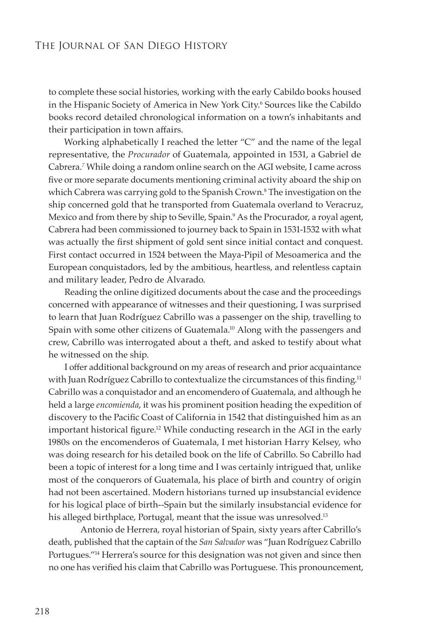to complete these social histories, working with the early Cabildo books housed in the Hispanic Society of America in New York City.<sup>6</sup> Sources like the Cabildo books record detailed chronological information on a town's inhabitants and their participation in town affairs.

Working alphabetically I reached the letter "C" and the name of the legal representative, the *Procurador* of Guatemala, appointed in 1531, a Gabriel de Cabrera.*<sup>7</sup>* While doing a random online search on the AGI website, I came across five or more separate documents mentioning criminal activity aboard the ship on which Cabrera was carrying gold to the Spanish Crown.<sup>8</sup> The investigation on the ship concerned gold that he transported from Guatemala overland to Veracruz, Mexico and from there by ship to Seville, Spain.<sup>9</sup> As the Procurador, a royal agent, Cabrera had been commissioned to journey back to Spain in 1531-1532 with what was actually the first shipment of gold sent since initial contact and conquest. First contact occurred in 1524 between the Maya-Pipil of Mesoamerica and the European conquistadors, led by the ambitious, heartless, and relentless captain and military leader, Pedro de Alvarado.

Reading the online digitized documents about the case and the proceedings concerned with appearance of witnesses and their questioning, I was surprised to learn that Juan Rodríguez Cabrillo was a passenger on the ship, travelling to Spain with some other citizens of Guatemala.<sup>10</sup> Along with the passengers and crew, Cabrillo was interrogated about a theft, and asked to testify about what he witnessed on the ship.

I offer additional background on my areas of research and prior acquaintance with Juan Rodríguez Cabrillo to contextualize the circumstances of this finding.<sup>11</sup> Cabrillo was a conquistador and an encomendero of Guatemala, and although he held a large *encomienda*, it was his prominent position heading the expedition of discovery to the Pacific Coast of California in 1542 that distinguished him as an important historical figure.<sup>12</sup> While conducting research in the AGI in the early 1980s on the encomenderos of Guatemala, I met historian Harry Kelsey, who was doing research for his detailed book on the life of Cabrillo. So Cabrillo had been a topic of interest for a long time and I was certainly intrigued that, unlike most of the conquerors of Guatemala, his place of birth and country of origin had not been ascertained. Modern historians turned up insubstancial evidence for his logical place of birth--Spain but the similarly insubstancial evidence for his alleged birthplace, Portugal, meant that the issue was unresolved.<sup>13</sup>

Antonio de Herrera, royal historian of Spain, sixty years after Cabrillo's death, published that the captain of the *San Salvador* was "Juan Rodríguez Cabrillo Portugues."<sup>14</sup> Herrera's source for this designation was not given and since then no one has verified his claim that Cabrillo was Portuguese. This pronouncement,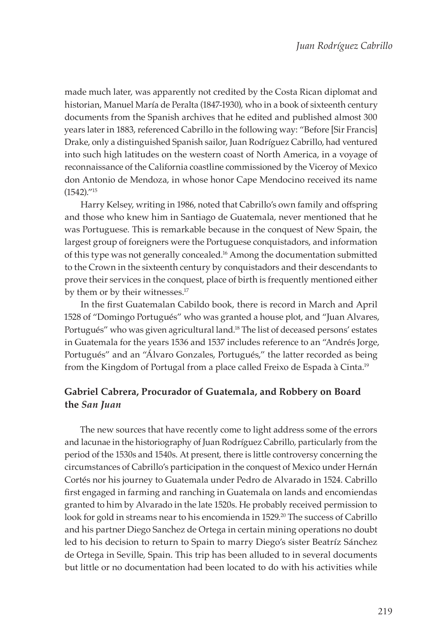made much later, was apparently not credited by the Costa Rican diplomat and historian, Manuel María de Peralta (1847-1930), who in a book of sixteenth century documents from the Spanish archives that he edited and published almost 300 years later in 1883, referenced Cabrillo in the following way: "Before [Sir Francis] Drake, only a distinguished Spanish sailor, Juan Rodríguez Cabrillo, had ventured into such high latitudes on the western coast of North America, in a voyage of reconnaissance of the California coastline commissioned by the Viceroy of Mexico don Antonio de Mendoza, in whose honor Cape Mendocino received its name (1542)."15

Harry Kelsey, writing in 1986, noted that Cabrillo's own family and offspring and those who knew him in Santiago de Guatemala, never mentioned that he was Portuguese. This is remarkable because in the conquest of New Spain, the largest group of foreigners were the Portuguese conquistadors, and information of this type was not generally concealed.16 Among the documentation submitted to the Crown in the sixteenth century by conquistadors and their descendants to prove their services in the conquest, place of birth is frequently mentioned either by them or by their witnesses.<sup>17</sup>

In the first Guatemalan Cabildo book, there is record in March and April 1528 of "Domingo Portugués" who was granted a house plot, and "Juan Alvares, Portugués" who was given agricultural land.<sup>18</sup> The list of deceased persons' estates in Guatemala for the years 1536 and 1537 includes reference to an "Andrés Jorge, Portugués" and an "Álvaro Gonzales, Portugués," the latter recorded as being from the Kingdom of Portugal from a place called Freixo de Espada à Cinta.<sup>19</sup>

## **Gabriel Cabrera, Procurador of Guatemala, and Robbery on Board the** *San Juan*

The new sources that have recently come to light address some of the errors and lacunae in the historiography of Juan Rodríguez Cabrillo, particularly from the period of the 1530s and 1540s. At present, there is little controversy concerning the circumstances of Cabrillo's participation in the conquest of Mexico under Hernán Cortés nor his journey to Guatemala under Pedro de Alvarado in 1524. Cabrillo first engaged in farming and ranching in Guatemala on lands and encomiendas granted to him by Alvarado in the late 1520s. He probably received permission to look for gold in streams near to his encomienda in 1529.<sup>20</sup> The success of Cabrillo and his partner Diego Sanchez de Ortega in certain mining operations no doubt led to his decision to return to Spain to marry Diego's sister Beatríz Sánchez de Ortega in Seville, Spain. This trip has been alluded to in several documents but little or no documentation had been located to do with his activities while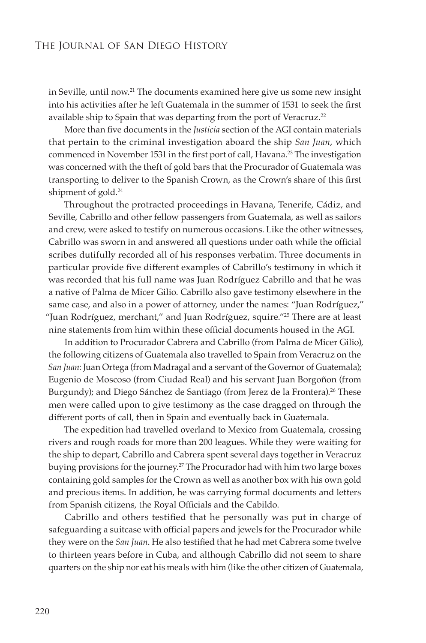in Seville, until now.<sup>21</sup> The documents examined here give us some new insight into his activities after he left Guatemala in the summer of 1531 to seek the first available ship to Spain that was departing from the port of Veracruz.<sup>22</sup>

More than five documents in the *Justicia* section of the AGI contain materials that pertain to the criminal investigation aboard the ship *San Juan*, which commenced in November 1531 in the first port of call, Havana.<sup>23</sup> The investigation was concerned with the theft of gold bars that the Procurador of Guatemala was transporting to deliver to the Spanish Crown, as the Crown's share of this first shipment of gold.<sup>24</sup>

Throughout the protracted proceedings in Havana, Tenerife, Cádiz, and Seville, Cabrillo and other fellow passengers from Guatemala, as well as sailors and crew, were asked to testify on numerous occasions. Like the other witnesses, Cabrillo was sworn in and answered all questions under oath while the official scribes dutifully recorded all of his responses verbatim. Three documents in particular provide five different examples of Cabrillo's testimony in which it was recorded that his full name was Juan Rodríguez Cabrillo and that he was a native of Palma de Micer Gilio. Cabrillo also gave testimony elsewhere in the same case, and also in a power of attorney, under the names: "Juan Rodríguez," "Juan Rodríguez, merchant," and Juan Rodríguez, squire."25 There are at least nine statements from him within these official documents housed in the AGI.

In addition to Procurador Cabrera and Cabrillo (from Palma de Micer Gilio), the following citizens of Guatemala also travelled to Spain from Veracruz on the *San Juan*: Juan Ortega (from Madragal and a servant of the Governor of Guatemala); Eugenio de Moscoso (from Ciudad Real) and his servant Juan Borgoñon (from Burgundy); and Diego Sánchez de Santiago (from Jerez de la Frontera).<sup>26</sup> These men were called upon to give testimony as the case dragged on through the different ports of call, then in Spain and eventually back in Guatemala.

The expedition had travelled overland to Mexico from Guatemala, crossing rivers and rough roads for more than 200 leagues. While they were waiting for the ship to depart, Cabrillo and Cabrera spent several days together in Veracruz buying provisions for the journey.27 The Procurador had with him two large boxes containing gold samples for the Crown as well as another box with his own gold and precious items. In addition, he was carrying formal documents and letters from Spanish citizens, the Royal Officials and the Cabildo.

Cabrillo and others testified that he personally was put in charge of safeguarding a suitcase with official papers and jewels for the Procurador while they were on the *San Juan*. He also testified that he had met Cabrera some twelve to thirteen years before in Cuba, and although Cabrillo did not seem to share quarters on the ship nor eat his meals with him (like the other citizen of Guatemala,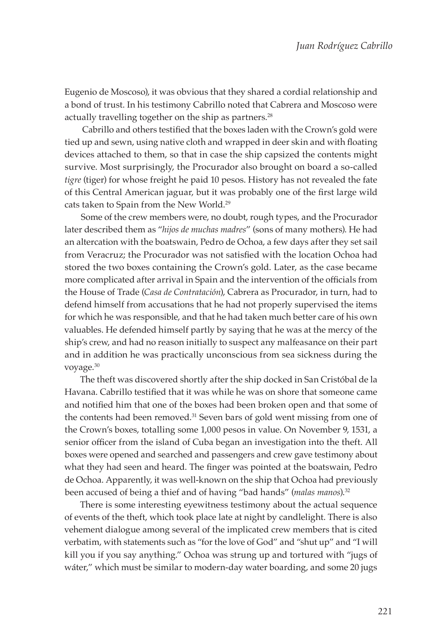Eugenio de Moscoso), it was obvious that they shared a cordial relationship and a bond of trust. In his testimony Cabrillo noted that Cabrera and Moscoso were actually travelling together on the ship as partners.<sup>28</sup>

 Cabrillo and others testified that the boxes laden with the Crown's gold were tied up and sewn, using native cloth and wrapped in deer skin and with floating devices attached to them, so that in case the ship capsized the contents might survive. Most surprisingly, the Procurador also brought on board a so-called *tigre* (tiger) for whose freight he paid 10 pesos. History has not revealed the fate of this Central American jaguar, but it was probably one of the first large wild cats taken to Spain from the New World.<sup>29</sup>

Some of the crew members were, no doubt, rough types, and the Procurador later described them as "*hijos de muchas madres*" (sons of many mothers). He had an altercation with the boatswain, Pedro de Ochoa, a few days after they set sail from Veracruz; the Procurador was not satisfied with the location Ochoa had stored the two boxes containing the Crown's gold. Later, as the case became more complicated after arrival in Spain and the intervention of the officials from the House of Trade (*Casa de Contratación*), Cabrera as Procurador, in turn, had to defend himself from accusations that he had not properly supervised the items for which he was responsible, and that he had taken much better care of his own valuables. He defended himself partly by saying that he was at the mercy of the ship's crew, and had no reason initially to suspect any malfeasance on their part and in addition he was practically unconscious from sea sickness during the voyage.<sup>30</sup>

The theft was discovered shortly after the ship docked in San Cristóbal de la Havana. Cabrillo testified that it was while he was on shore that someone came and notified him that one of the boxes had been broken open and that some of the contents had been removed.<sup>31</sup> Seven bars of gold went missing from one of the Crown's boxes, totalling some 1,000 pesos in value. On November 9, 1531, a senior officer from the island of Cuba began an investigation into the theft. All boxes were opened and searched and passengers and crew gave testimony about what they had seen and heard. The finger was pointed at the boatswain, Pedro de Ochoa. Apparently, it was well-known on the ship that Ochoa had previously been accused of being a thief and of having "bad hands" (*malas manos*).<sup>32</sup>

There is some interesting eyewitness testimony about the actual sequence of events of the theft, which took place late at night by candlelight. There is also vehement dialogue among several of the implicated crew members that is cited verbatim, with statements such as "for the love of God" and "shut up" and "I will kill you if you say anything." Ochoa was strung up and tortured with "jugs of wáter," which must be similar to modern-day water boarding, and some 20 jugs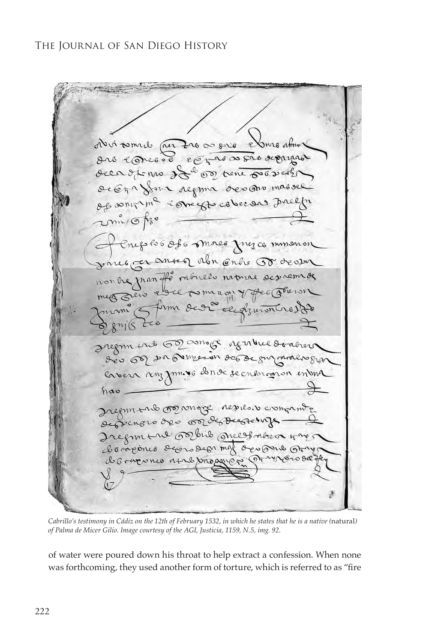dui tomal per 220 00 size elmo almos are conceve representative deen of no of so or tene por verti de Era forma regima desano massee Of sonitina concept cover as Inelfor 2mi/ofso Enephis Of 6 mores frez commencer parce cannon abor only 50 deason monde man fit rebuels nature des verses  $m(s)$ Iregrament 62 assage agriculture dontrer des 60 2n Queron de Begunander gran envers ronz jom. VG donvé se ensuranon en una  $nab$ Iregim trib or congre resile. v crongam de Senoro des orde Decretinge - 2 docagones deoroden mal ocupain Arry de como não a trabasion provoco das

*Cabrillo's testimony in Cádiz on the 12th of February 1532, in which he states that he is a native (natural) of Palma de Micer Gilio. Image courtesy of the AGI, Justicia, 1159, N.5, img. 92.*

of water were poured down his throat to help extract a confession. When none was forthcoming, they used another form of torture, which is referred to as "fire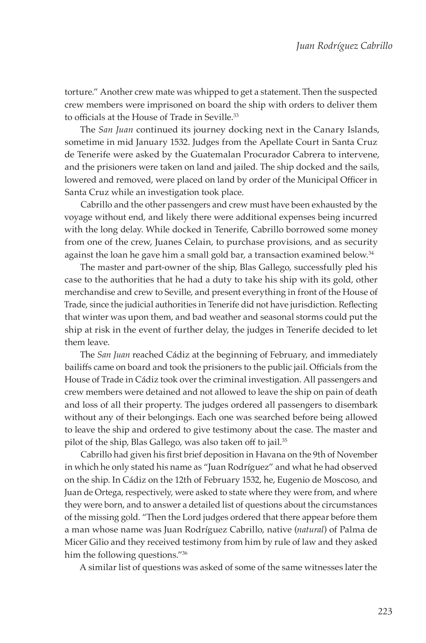torture." Another crew mate was whipped to get a statement. Then the suspected crew members were imprisoned on board the ship with orders to deliver them to officials at the House of Trade in Seville.<sup>33</sup>

The *San Juan* continued its journey docking next in the Canary Islands, sometime in mid January 1532. Judges from the Apellate Court in Santa Cruz de Tenerife were asked by the Guatemalan Procurador Cabrera to intervene, and the prisioners were taken on land and jailed. The ship docked and the sails, lowered and removed, were placed on land by order of the Municipal Officer in Santa Cruz while an investigation took place.

Cabrillo and the other passengers and crew must have been exhausted by the voyage without end, and likely there were additional expenses being incurred with the long delay. While docked in Tenerife, Cabrillo borrowed some money from one of the crew, Juanes Celain, to purchase provisions, and as security against the loan he gave him a small gold bar, a transaction examined below.<sup>34</sup>

The master and part-owner of the ship, Blas Gallego, successfully pled his case to the authorities that he had a duty to take his ship with its gold, other merchandise and crew to Seville, and present everything in front of the House of Trade, since the judicial authorities in Tenerife did not have jurisdiction. Reflecting that winter was upon them, and bad weather and seasonal storms could put the ship at risk in the event of further delay, the judges in Tenerife decided to let them leave.

The *San Juan* reached Cádiz at the beginning of February, and immediately bailiffs came on board and took the prisioners to the public jail. Officials from the House of Trade in Cádiz took over the criminal investigation. All passengers and crew members were detained and not allowed to leave the ship on pain of death and loss of all their property. The judges ordered all passengers to disembark without any of their belongings. Each one was searched before being allowed to leave the ship and ordered to give testimony about the case. The master and pilot of the ship, Blas Gallego, was also taken off to jail.<sup>35</sup>

Cabrillo had given his first brief deposition in Havana on the 9th of November in which he only stated his name as "Juan Rodríguez" and what he had observed on the ship. In Cádiz on the 12th of February 1532, he, Eugenio de Moscoso, and Juan de Ortega, respectively, were asked to state where they were from, and where they were born, and to answer a detailed list of questions about the circumstances of the missing gold. "Then the Lord judges ordered that there appear before them a man whose name was Juan Rodríguez Cabrillo, native (*natural*) of Palma de Micer Gilio and they received testimony from him by rule of law and they asked him the following questions."36

A similar list of questions was asked of some of the same witnesses later the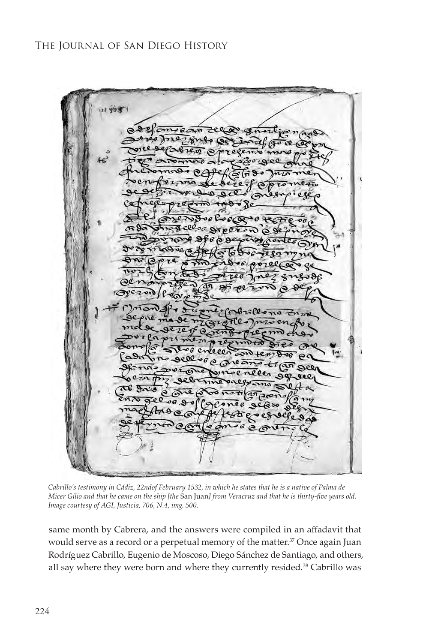$49.3$  $\approx 100$  $\mathfrak{a}_{\mathfrak{m}}$ 

*Cabrillo's testimony in Cádiz, 22ndof February 1532, in which he states that he is a native of Palma de Micer Gilio and that he came on the ship [the* San Juan*] from Veracruz and that he is thirty-five years old. Image courtesy of AGI, Justicia, 706, N.4, img. 500.*

same month by Cabrera, and the answers were compiled in an affadavit that would serve as a record or a perpetual memory of the matter.<sup>37</sup> Once again Juan Rodríguez Cabrillo, Eugenio de Moscoso, Diego Sánchez de Santiago, and others, all say where they were born and where they currently resided.<sup>38</sup> Cabrillo was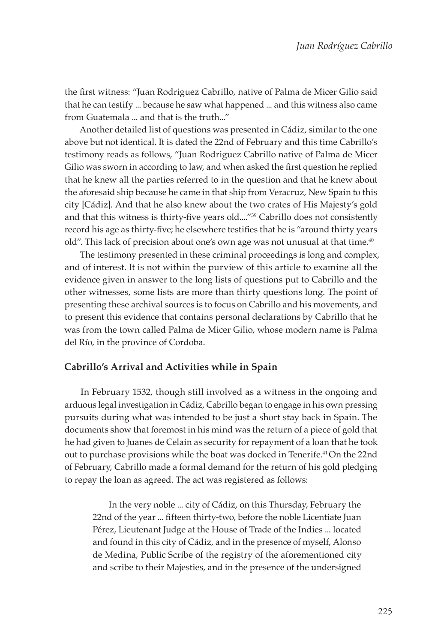the first witness: "Juan Rodriguez Cabrillo, native of Palma de Micer Gilio said that he can testify ... because he saw what happened ... and this witness also came from Guatemala ... and that is the truth..."

Another detailed list of questions was presented in Cádiz, similar to the one above but not identical. It is dated the 22nd of February and this time Cabrillo's testimony reads as follows, "Juan Rodriguez Cabrillo native of Palma de Micer Gilio was sworn in according to law, and when asked the first question he replied that he knew all the parties referred to in the question and that he knew about the aforesaid ship because he came in that ship from Veracruz, New Spain to this city [Cádiz]. And that he also knew about the two crates of His Majesty's gold and that this witness is thirty-five years old...."<sup>39</sup> Cabrillo does not consistently record his age as thirty-five; he elsewhere testifies that he is "around thirty years old". This lack of precision about one's own age was not unusual at that time.<sup>40</sup>

The testimony presented in these criminal proceedings is long and complex, and of interest. It is not within the purview of this article to examine all the evidence given in answer to the long lists of questions put to Cabrillo and the other witnesses, some lists are more than thirty questions long. The point of presenting these archival sources is to focus on Cabrillo and his movements, and to present this evidence that contains personal declarations by Cabrillo that he was from the town called Palma de Micer Gilio, whose modern name is Palma del Río, in the province of Cordoba.

#### **Cabrillo's Arrival and Activities while in Spain**

In February 1532, though still involved as a witness in the ongoing and arduous legal investigation in Cádiz, Cabrillo began to engage in his own pressing pursuits during what was intended to be just a short stay back in Spain. The documents show that foremost in his mind was the return of a piece of gold that he had given to Juanes de Celain as security for repayment of a loan that he took out to purchase provisions while the boat was docked in Tenerife.41 On the 22nd of February, Cabrillo made a formal demand for the return of his gold pledging to repay the loan as agreed. The act was registered as follows:

In the very noble ... city of Cádiz, on this Thursday, February the 22nd of the year ... fifteen thirty-two, before the noble Licentiate Juan Pérez, Lieutenant Judge at the House of Trade of the Indies ... located and found in this city of Cádiz, and in the presence of myself, Alonso de Medina, Public Scribe of the registry of the aforementioned city and scribe to their Majesties, and in the presence of the undersigned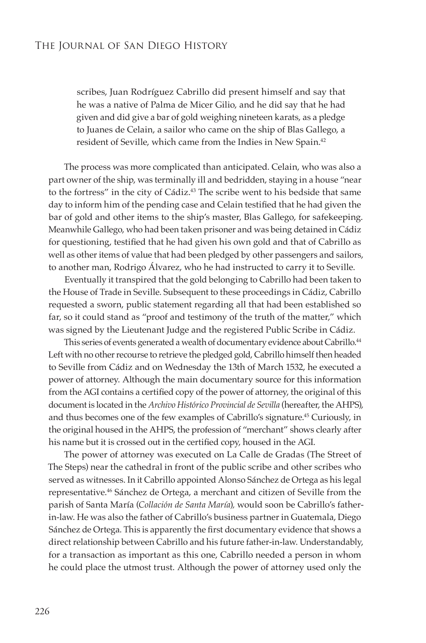scribes, Juan Rodríguez Cabrillo did present himself and say that he was a native of Palma de Micer Gilio, and he did say that he had given and did give a bar of gold weighing nineteen karats, as a pledge to Juanes de Celain, a sailor who came on the ship of Blas Gallego, a resident of Seville, which came from the Indies in New Spain.<sup>42</sup>

The process was more complicated than anticipated. Celain, who was also a part owner of the ship, was terminally ill and bedridden, staying in a house "near to the fortress" in the city of Cádiz.<sup>43</sup> The scribe went to his bedside that same day to inform him of the pending case and Celain testified that he had given the bar of gold and other items to the ship's master, Blas Gallego, for safekeeping. Meanwhile Gallego, who had been taken prisoner and was being detained in Cádiz for questioning, testified that he had given his own gold and that of Cabrillo as well as other items of value that had been pledged by other passengers and sailors, to another man, Rodrigo Álvarez, who he had instructed to carry it to Seville.

Eventually it transpired that the gold belonging to Cabrillo had been taken to the House of Trade in Seville. Subsequent to these proceedings in Cádiz, Cabrillo requested a sworn, public statement regarding all that had been established so far, so it could stand as "proof and testimony of the truth of the matter," which was signed by the Lieutenant Judge and the registered Public Scribe in Cádiz.

This series of events generated a wealth of documentary evidence about Cabrillo.<sup>44</sup> Left with no other recourse to retrieve the pledged gold, Cabrillo himself then headed to Seville from Cádiz and on Wednesday the 13th of March 1532, he executed a power of attorney. Although the main documentary source for this information from the AGI contains a certified copy of the power of attorney, the original of this document is located in the *Archivo Histórico Provincial de Sevilla* (hereafter, the AHPS), and thus becomes one of the few examples of Cabrillo's signature.45 Curiously, in the original housed in the AHPS, the profession of "merchant" shows clearly after his name but it is crossed out in the certified copy, housed in the AGI.

The power of attorney was executed on La Calle de Gradas (The Street of The Steps) near the cathedral in front of the public scribe and other scribes who served as witnesses. In it Cabrillo appointed Alonso Sánchez de Ortega as his legal representative.46 Sánchez de Ortega, a merchant and citizen of Seville from the parish of Santa María (*Collación de Santa María*)*,* would soon be Cabrillo's fatherin-law. He was also the father of Cabrillo's business partner in Guatemala, Diego Sánchez de Ortega. This is apparently the first documentary evidence that shows a direct relationship between Cabrillo and his future father-in-law. Understandably, for a transaction as important as this one, Cabrillo needed a person in whom he could place the utmost trust. Although the power of attorney used only the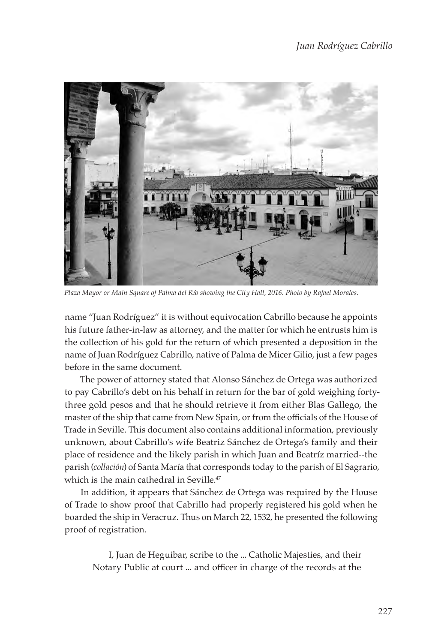

*Plaza Mayor or Main Square of Palma del Río showing the City Hall, 2016. Photo by Rafael Morales.*

name "Juan Rodríguez" it is without equivocation Cabrillo because he appoints his future father-in-law as attorney, and the matter for which he entrusts him is the collection of his gold for the return of which presented a deposition in the name of Juan Rodríguez Cabrillo, native of Palma de Micer Gilio, just a few pages before in the same document.

The power of attorney stated that Alonso Sánchez de Ortega was authorized to pay Cabrillo's debt on his behalf in return for the bar of gold weighing fortythree gold pesos and that he should retrieve it from either Blas Gallego, the master of the ship that came from New Spain, or from the officials of the House of Trade in Seville. This document also contains additional information, previously unknown, about Cabrillo's wife Beatriz Sánchez de Ortega's family and their place of residence and the likely parish in which Juan and Beatríz married--the parish (*collación*) of Santa María that corresponds today to the parish of El Sagrario, which is the main cathedral in Seville.<sup>47</sup>

In addition, it appears that Sánchez de Ortega was required by the House of Trade to show proof that Cabrillo had properly registered his gold when he boarded the ship in Veracruz. Thus on March 22, 1532, he presented the following proof of registration.

I, Juan de Heguibar, scribe to the ... Catholic Majesties, and their Notary Public at court ... and officer in charge of the records at the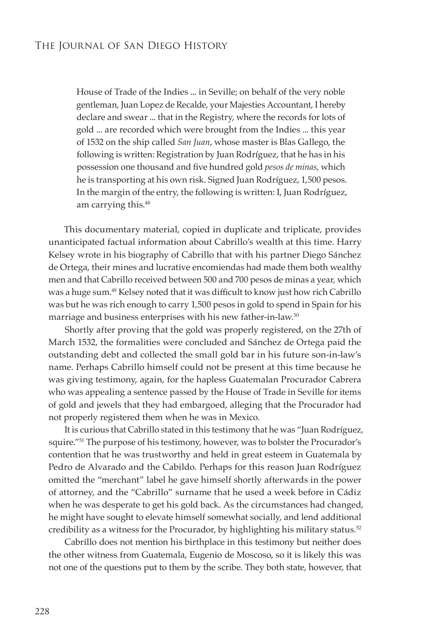House of Trade of the Indies ... in Seville; on behalf of the very noble gentleman, Juan Lopez de Recalde, your Majesties Accountant, I hereby declare and swear ... that in the Registry, where the records for lots of gold ... are recorded which were brought from the Indies ... this year of 1532 on the ship called *San Juan*, whose master is Blas Gallego, the following is written: Registration by Juan Rodríguez, that he has in his possession one thousand and five hundred gold *pesos de minas*, which he is transporting at his own risk. Signed Juan Rodríguez, 1,500 pesos. In the margin of the entry, the following is written: I, Juan Rodríguez, am carrying this.<sup>48</sup>

This documentary material, copied in duplicate and triplicate, provides unanticipated factual information about Cabrillo's wealth at this time. Harry Kelsey wrote in his biography of Cabrillo that with his partner Diego Sánchez de Ortega, their mines and lucrative encomiendas had made them both wealthy men and that Cabrillo received between 500 and 700 pesos de minas a year, which was a huge sum.<sup>49</sup> Kelsey noted that it was difficult to know just how rich Cabrillo was but he was rich enough to carry 1,500 pesos in gold to spend in Spain for his marriage and business enterprises with his new father-in-law.<sup>50</sup>

Shortly after proving that the gold was properly registered, on the 27th of March 1532, the formalities were concluded and Sánchez de Ortega paid the outstanding debt and collected the small gold bar in his future son-in-law's name. Perhaps Cabrillo himself could not be present at this time because he was giving testimony, again, for the hapless Guatemalan Procurador Cabrera who was appealing a sentence passed by the House of Trade in Seville for items of gold and jewels that they had embargoed, alleging that the Procurador had not properly registered them when he was in Mexico.

It is curious that Cabrillo stated in this testimony that he was "Juan Rodríguez, squire."51 The purpose of his testimony, however, was to bolster the Procurador's contention that he was trustworthy and held in great esteem in Guatemala by Pedro de Alvarado and the Cabildo. Perhaps for this reason Juan Rodríguez omitted the "merchant" label he gave himself shortly afterwards in the power of attorney, and the "Cabrillo" surname that he used a week before in Cádiz when he was desperate to get his gold back. As the circumstances had changed, he might have sought to elevate himself somewhat socially, and lend additional credibility as a witness for the Procurador, by highlighting his military status.<sup>52</sup>

Cabrillo does not mention his birthplace in this testimony but neither does the other witness from Guatemala, Eugenio de Moscoso, so it is likely this was not one of the questions put to them by the scribe. They both state, however, that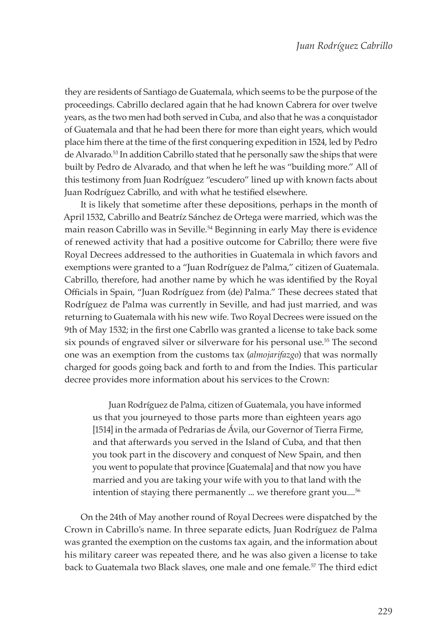they are residents of Santiago de Guatemala, which seems to be the purpose of the proceedings. Cabrillo declared again that he had known Cabrera for over twelve years, as the two men had both served in Cuba, and also that he was a conquistador of Guatemala and that he had been there for more than eight years, which would place him there at the time of the first conquering expedition in 1524, led by Pedro de Alvarado.53 In addition Cabrillo stated that he personally saw the ships that were built by Pedro de Alvarado, and that when he left he was "building more." All of this testimony from Juan Rodríguez "escudero" lined up with known facts about Juan Rodríguez Cabrillo, and with what he testified elsewhere.

It is likely that sometime after these depositions, perhaps in the month of April 1532, Cabrillo and Beatríz Sánchez de Ortega were married, which was the main reason Cabrillo was in Seville.<sup>54</sup> Beginning in early May there is evidence of renewed activity that had a positive outcome for Cabrillo; there were five Royal Decrees addressed to the authorities in Guatemala in which favors and exemptions were granted to a "Juan Rodríguez de Palma," citizen of Guatemala. Cabrillo, therefore, had another name by which he was identified by the Royal Officials in Spain, "Juan Rodríguez from (de) Palma." These decrees stated that Rodríguez de Palma was currently in Seville, and had just married, and was returning to Guatemala with his new wife. Two Royal Decrees were issued on the 9th of May 1532; in the first one Cabrllo was granted a license to take back some six pounds of engraved silver or silverware for his personal use.<sup>55</sup> The second one was an exemption from the customs tax (*almojarifazgo*) that was normally charged for goods going back and forth to and from the Indies. This particular decree provides more information about his services to the Crown:

Juan Rodríguez de Palma, citizen of Guatemala, you have informed us that you journeyed to those parts more than eighteen years ago [1514] in the armada of Pedrarias de Ávila, our Governor of Tierra Firme, and that afterwards you served in the Island of Cuba, and that then you took part in the discovery and conquest of New Spain, and then you went to populate that province [Guatemala] and that now you have married and you are taking your wife with you to that land with the intention of staying there permanently ... we therefore grant you....<sup>56</sup>

On the 24th of May another round of Royal Decrees were dispatched by the Crown in Cabrillo's name. In three separate edicts, Juan Rodríguez de Palma was granted the exemption on the customs tax again, and the information about his military career was repeated there, and he was also given a license to take back to Guatemala two Black slaves, one male and one female.57 The third edict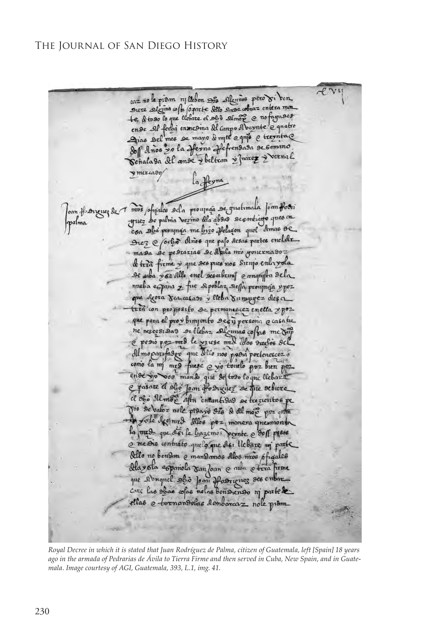

*Royal Decree in which it is stated that Juan Rodríguez de Palma, citizen of Guatemala, left [Spain] 18 years ago in the armada of Pedrarias de Ávila to Tierra Firme and then served in Cuba, New Spain, and in Guatemala. Image courtesy of AGI, Guatemala, 393, L.1, img. 41.*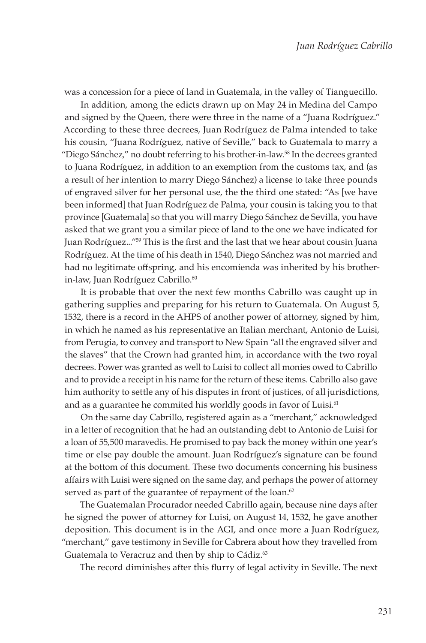was a concession for a piece of land in Guatemala, in the valley of Tianguecillo.

In addition, among the edicts drawn up on May 24 in Medina del Campo and signed by the Queen, there were three in the name of a "Juana Rodríguez." According to these three decrees, Juan Rodríguez de Palma intended to take his cousin, "Juana Rodríguez, native of Seville," back to Guatemala to marry a "Diego Sánchez," no doubt referring to his brother-in-law.58 In the decrees granted to Juana Rodríguez, in addition to an exemption from the customs tax, and (as a result of her intention to marry Diego Sánchez) a license to take three pounds of engraved silver for her personal use, the the third one stated: "As [we have been informed] that Juan Rodríguez de Palma, your cousin is taking you to that province [Guatemala] so that you will marry Diego Sánchez de Sevilla, you have asked that we grant you a similar piece of land to the one we have indicated for Juan Rodríguez..."59 This is the first and the last that we hear about cousin Juana Rodríguez. At the time of his death in 1540, Diego Sánchez was not married and had no legitimate offspring, and his encomienda was inherited by his brotherin-law, Juan Rodríguez Cabrillo.<sup>60</sup>

It is probable that over the next few months Cabrillo was caught up in gathering supplies and preparing for his return to Guatemala. On August 5, 1532, there is a record in the AHPS of another power of attorney, signed by him, in which he named as his representative an Italian merchant, Antonio de Luisi, from Perugia, to convey and transport to New Spain "all the engraved silver and the slaves" that the Crown had granted him, in accordance with the two royal decrees. Power was granted as well to Luisi to collect all monies owed to Cabrillo and to provide a receipt in his name for the return of these items. Cabrillo also gave him authority to settle any of his disputes in front of justices, of all jurisdictions, and as a guarantee he commited his worldly goods in favor of Luisi.<sup>61</sup>

On the same day Cabrillo, registered again as a "merchant," acknowledged in a letter of recognition that he had an outstanding debt to Antonio de Luisi for a loan of 55,500 maravedis. He promised to pay back the money within one year's time or else pay double the amount. Juan Rodríguez's signature can be found at the bottom of this document. These two documents concerning his business affairs with Luisi were signed on the same day, and perhaps the power of attorney served as part of the guarantee of repayment of the loan.<sup>62</sup>

The Guatemalan Procurador needed Cabrillo again, because nine days after he signed the power of attorney for Luisi, on August 14, 1532, he gave another deposition. This document is in the AGI, and once more a Juan Rodríguez, "merchant," gave testimony in Seville for Cabrera about how they travelled from Guatemala to Veracruz and then by ship to Cádiz.<sup>63</sup>

The record diminishes after this flurry of legal activity in Seville. The next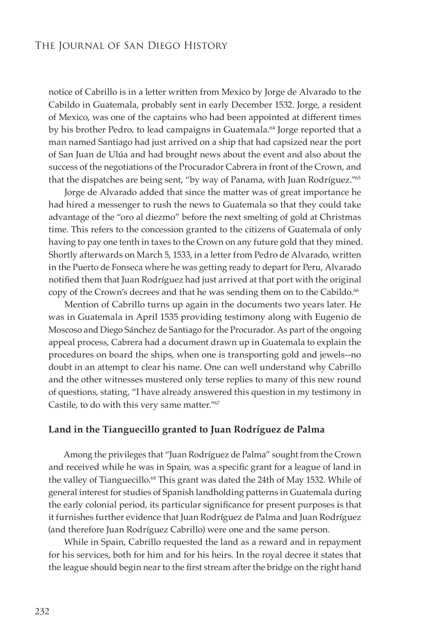notice of Cabrillo is in a letter written from Mexico by Jorge de Alvarado to the Cabildo in Guatemala, probably sent in early December 1532. Jorge, a resident of Mexico, was one of the captains who had been appointed at different times by his brother Pedro, to lead campaigns in Guatemala.<sup>64</sup> Jorge reported that a man named Santiago had just arrived on a ship that had capsized near the port of San Juan de Ulúa and had brought news about the event and also about the success of the negotiations of the Procurador Cabrera in front of the Crown, and that the dispatches are being sent, "by way of Panama, with Juan Rodríguez."65

Jorge de Alvarado added that since the matter was of great importance he had hired a messenger to rush the news to Guatemala so that they could take advantage of the "oro al diezmo" before the next smelting of gold at Christmas time. This refers to the concession granted to the citizens of Guatemala of only having to pay one tenth in taxes to the Crown on any future gold that they mined. Shortly afterwards on March 5, 1533, in a letter from Pedro de Alvarado, written in the Puerto de Fonseca where he was getting ready to depart for Peru, Alvarado notified them that Juan Rodríguez had just arrived at that port with the original copy of the Crown's decrees and that he was sending them on to the Cabildo.<sup>66</sup>

Mention of Cabrillo turns up again in the documents two years later. He was in Guatemala in April 1535 providing testimony along with Eugenio de Moscoso and Diego Sánchez de Santiago for the Procurador. As part of the ongoing appeal process, Cabrera had a document drawn up in Guatemala to explain the procedures on board the ships, when one is transporting gold and jewels--no doubt in an attempt to clear his name. One can well understand why Cabrillo and the other witnesses mustered only terse replies to many of this new round of questions, stating, "I have already answered this question in my testimony in Castile, to do with this very same matter."67

#### **Land in the Tianguecillo granted to Juan Rodríguez de Palma**

Among the privileges that "Juan Rodríguez de Palma" sought from the Crown and received while he was in Spain, was a specific grant for a league of land in the valley of Tianguecillo.<sup>68</sup> This grant was dated the 24th of May 1532. While of general interest for studies of Spanish landholding patterns in Guatemala during the early colonial period, its particular significance for present purposes is that it furnishes further evidence that Juan Rodríguez de Palma and Juan Rodríguez (and therefore Juan Rodríguez Cabrillo) were one and the same person.

While in Spain, Cabrillo requested the land as a reward and in repayment for his services, both for him and for his heirs. In the royal decree it states that the league should begin near to the first stream after the bridge on the right hand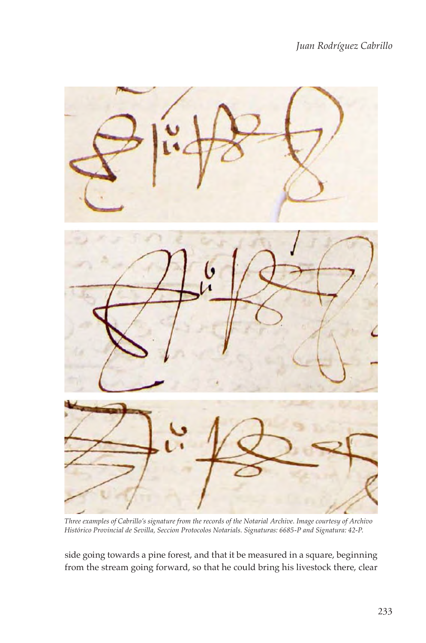*Juan Rodríguez Cabrillo*



*Three examples of Cabrillo's signature from the records of the Notarial Archive. Image courtesy of Archivo Histórico Provincial de Sevilla, Seccion Protocolos Notarials. Signaturas: 6685-P and Signatura: 42-P.*

side going towards a pine forest, and that it be measured in a square, beginning from the stream going forward, so that he could bring his livestock there, clear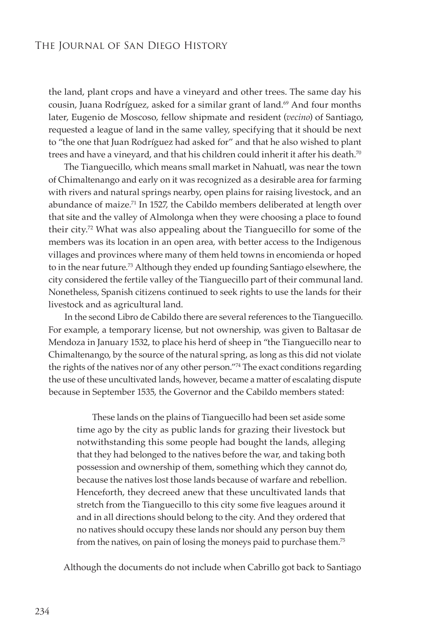the land, plant crops and have a vineyard and other trees. The same day his cousin, Juana Rodríguez, asked for a similar grant of land.<sup>69</sup> And four months later, Eugenio de Moscoso, fellow shipmate and resident (*vecino*) of Santiago, requested a league of land in the same valley, specifying that it should be next to "the one that Juan Rodríguez had asked for" and that he also wished to plant trees and have a vineyard, and that his children could inherit it after his death.<sup>70</sup>

The Tianguecillo, which means small market in Nahuatl, was near the town of Chimaltenango and early on it was recognized as a desirable area for farming with rivers and natural springs nearby, open plains for raising livestock, and an abundance of maize.<sup>71</sup> In 1527, the Cabildo members deliberated at length over that site and the valley of Almolonga when they were choosing a place to found their city.72 What was also appealing about the Tianguecillo for some of the members was its location in an open area, with better access to the Indigenous villages and provinces where many of them held towns in encomienda or hoped to in the near future.73 Although they ended up founding Santiago elsewhere, the city considered the fertile valley of the Tianguecillo part of their communal land. Nonetheless, Spanish citizens continued to seek rights to use the lands for their livestock and as agricultural land.

In the second Libro de Cabildo there are several references to the Tianguecillo. For example, a temporary license, but not ownership, was given to Baltasar de Mendoza in January 1532, to place his herd of sheep in "the Tianguecillo near to Chimaltenango, by the source of the natural spring, as long as this did not violate the rights of the natives nor of any other person."74 The exact conditions regarding the use of these uncultivated lands, however, became a matter of escalating dispute because in September 1535, the Governor and the Cabildo members stated:

These lands on the plains of Tianguecillo had been set aside some time ago by the city as public lands for grazing their livestock but notwithstanding this some people had bought the lands, alleging that they had belonged to the natives before the war, and taking both possession and ownership of them, something which they cannot do, because the natives lost those lands because of warfare and rebellion. Henceforth, they decreed anew that these uncultivated lands that stretch from the Tianguecillo to this city some five leagues around it and in all directions should belong to the city. And they ordered that no natives should occupy these lands nor should any person buy them from the natives, on pain of losing the moneys paid to purchase them.75

Although the documents do not include when Cabrillo got back to Santiago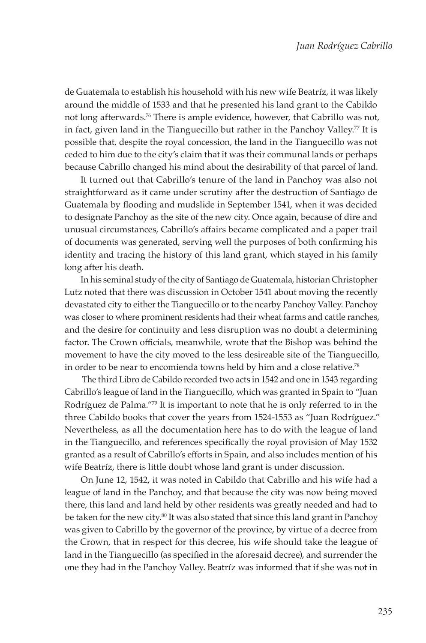de Guatemala to establish his household with his new wife Beatríz, it was likely around the middle of 1533 and that he presented his land grant to the Cabildo not long afterwards.76 There is ample evidence, however, that Cabrillo was not, in fact, given land in the Tianguecillo but rather in the Panchoy Valley.<sup>77</sup> It is possible that, despite the royal concession, the land in the Tianguecillo was not ceded to him due to the city's claim that it was their communal lands or perhaps because Cabrillo changed his mind about the desirability of that parcel of land.

It turned out that Cabrillo's tenure of the land in Panchoy was also not straightforward as it came under scrutiny after the destruction of Santiago de Guatemala by flooding and mudslide in September 1541, when it was decided to designate Panchoy as the site of the new city. Once again, because of dire and unusual circumstances, Cabrillo's affairs became complicated and a paper trail of documents was generated, serving well the purposes of both confirming his identity and tracing the history of this land grant, which stayed in his family long after his death.

In his seminal study of the city of Santiago de Guatemala, historian Christopher Lutz noted that there was discussion in October 1541 about moving the recently devastated city to either the Tianguecillo or to the nearby Panchoy Valley. Panchoy was closer to where prominent residents had their wheat farms and cattle ranches, and the desire for continuity and less disruption was no doubt a determining factor. The Crown officials, meanwhile, wrote that the Bishop was behind the movement to have the city moved to the less desireable site of the Tianguecillo, in order to be near to encomienda towns held by him and a close relative.78

 The third Libro de Cabildo recorded two acts in 1542 and one in 1543 regarding Cabrillo's league of land in the Tianguecillo, which was granted in Spain to "Juan Rodríguez de Palma."79 It is important to note that he is only referred to in the three Cabildo books that cover the years from 1524-1553 as "Juan Rodríguez." Nevertheless, as all the documentation here has to do with the league of land in the Tianguecillo, and references specifically the royal provision of May 1532 granted as a result of Cabrillo's efforts in Spain, and also includes mention of his wife Beatríz, there is little doubt whose land grant is under discussion.

On June 12, 1542, it was noted in Cabildo that Cabrillo and his wife had a league of land in the Panchoy, and that because the city was now being moved there, this land and land held by other residents was greatly needed and had to be taken for the new city.<sup>80</sup> It was also stated that since this land grant in Panchoy was given to Cabrillo by the governor of the province, by virtue of a decree from the Crown, that in respect for this decree, his wife should take the league of land in the Tianguecillo (as specified in the aforesaid decree), and surrender the one they had in the Panchoy Valley. Beatríz was informed that if she was not in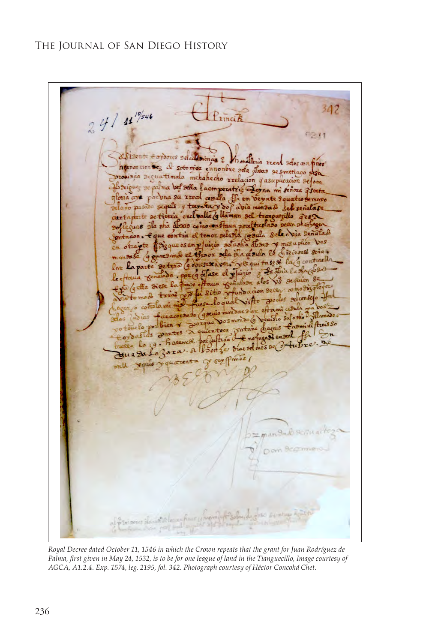$247$   $44\frac{10}{5}$ tinci  $0211$ &Sisente fordores seladinonas ? malleria real Has on tines d' soto moi ennonbre pela aboas se sontiago sega nummmen Seg provinão acquatimala mehahecho rrelación quasuplicación selom Briguez & palma ber sella lacmperatriz Leyna mi señora d'smta louia ave por una su rreal avalla Is en verente Equation emovo dano pasão sequês y tremita y do cabia mandado sele genalase dertaplante de tierra encluable & llaman sel tranquezillo uas ala sha abaas como constanza posettustado secon se col e que contra el tenor selasta cosala sele a sia senatad zque es en pluizio sotastia abaro y mesupheo vos tenor sela sila grada le dizioses sina.  $rr30$ ase 98 viere xaver. Jequitase & la g contraell  $true@$ Por La parte Les Jià la sha Casa de ase el pluizio  $\overline{B}$  $DOX(9)$ lectam Sequien 89 55 Paga alos aua Se t pa (gella 8 undacion Dece  $\infty$  $\frac{1}{4}$  sitio  $\gamma$ porlos religioseso d alvitto retta grewia Deaisto Sufosho  $\infty$ portane bagais Cromine frees so potouclo uientoca aslas 2 eS Enofagado ensera for  $-94.$ Le dine sel mes de 3 tubee alkoon Jua Da om Begrin

*Royal Decree dated October 11, 1546 in which the Crown repeats that the grant for Juan Rodríguez de Palma, first given in May 24, 1532, is to be for one league of land in the Tianguecillo, Image courtesy of AGCA, A1.2.4. Exp. 1574, leg. 2195, fol. 342. Photograph courtesy of Héctor Concohá Chet.*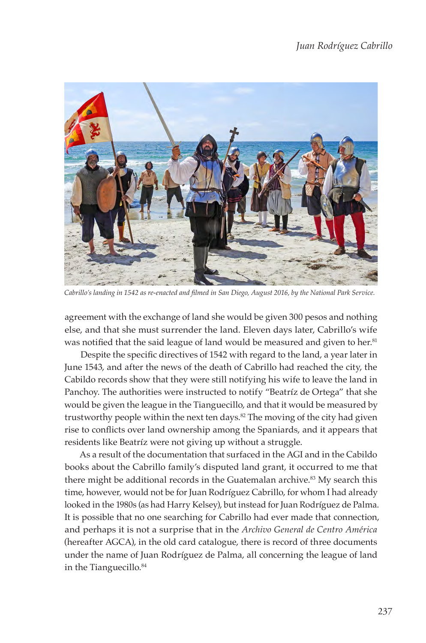

*Cabrillo's landing in 1542 as re-enacted and filmed in San Diego, August 2016, by the National Park Service.*

agreement with the exchange of land she would be given 300 pesos and nothing else, and that she must surrender the land. Eleven days later, Cabrillo's wife was notified that the said league of land would be measured and given to her.<sup>81</sup>

Despite the specific directives of 1542 with regard to the land, a year later in June 1543, and after the news of the death of Cabrillo had reached the city, the Cabildo records show that they were still notifying his wife to leave the land in Panchoy. The authorities were instructed to notify "Beatríz de Ortega" that she would be given the league in the Tianguecillo, and that it would be measured by trustworthy people within the next ten days.<sup>82</sup> The moving of the city had given rise to conflicts over land ownership among the Spaniards, and it appears that residents like Beatríz were not giving up without a struggle.

As a result of the documentation that surfaced in the AGI and in the Cabildo books about the Cabrillo family's disputed land grant, it occurred to me that there might be additional records in the Guatemalan archive.<sup>83</sup> My search this time, however, would not be for Juan Rodríguez Cabrillo, for whom I had already looked in the 1980s (as had Harry Kelsey), but instead for Juan Rodríguez de Palma. It is possible that no one searching for Cabrillo had ever made that connection, and perhaps it is not a surprise that in the *Archivo General de Centro América* (hereafter AGCA), in the old card catalogue, there is record of three documents under the name of Juan Rodríguez de Palma, all concerning the league of land in the Tianguecillo.<sup>84</sup>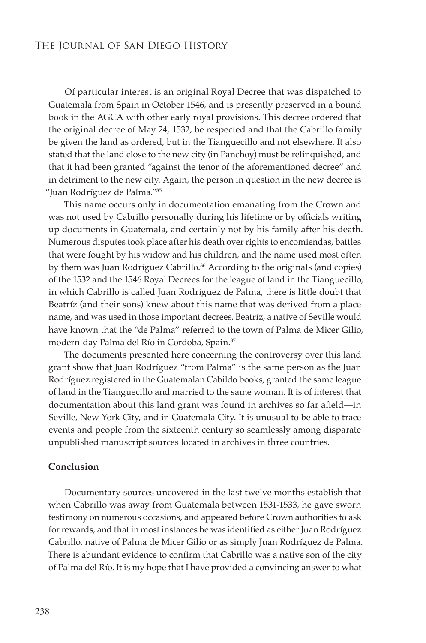Of particular interest is an original Royal Decree that was dispatched to Guatemala from Spain in October 1546, and is presently preserved in a bound book in the AGCA with other early royal provisions. This decree ordered that the original decree of May 24, 1532, be respected and that the Cabrillo family be given the land as ordered, but in the Tianguecillo and not elsewhere. It also stated that the land close to the new city (in Panchoy) must be relinquished, and that it had been granted "against the tenor of the aforementioned decree" and in detriment to the new city. Again, the person in question in the new decree is "Juan Rodríguez de Palma."85

This name occurs only in documentation emanating from the Crown and was not used by Cabrillo personally during his lifetime or by officials writing up documents in Guatemala, and certainly not by his family after his death. Numerous disputes took place after his death over rights to encomiendas, battles that were fought by his widow and his children, and the name used most often by them was Juan Rodríguez Cabrillo.<sup>86</sup> According to the originals (and copies) of the 1532 and the 1546 Royal Decrees for the league of land in the Tianguecillo, in which Cabrillo is called Juan Rodríguez de Palma, there is little doubt that Beatríz (and their sons) knew about this name that was derived from a place name, and was used in those important decrees. Beatríz, a native of Seville would have known that the "de Palma" referred to the town of Palma de Micer Gilio, modern-day Palma del Río in Cordoba, Spain.87

The documents presented here concerning the controversy over this land grant show that Juan Rodríguez "from Palma" is the same person as the Juan Rodríguez registered in the Guatemalan Cabildo books, granted the same league of land in the Tianguecillo and married to the same woman. It is of interest that documentation about this land grant was found in archives so far afield—in Seville, New York City, and in Guatemala City. It is unusual to be able to trace events and people from the sixteenth century so seamlessly among disparate unpublished manuscript sources located in archives in three countries.

#### **Conclusion**

Documentary sources uncovered in the last twelve months establish that when Cabrillo was away from Guatemala between 1531-1533, he gave sworn testimony on numerous occasions, and appeared before Crown authorities to ask for rewards, and that in most instances he was identified as either Juan Rodríguez Cabrillo, native of Palma de Micer Gilio or as simply Juan Rodríguez de Palma. There is abundant evidence to confirm that Cabrillo was a native son of the city of Palma del Río. It is my hope that I have provided a convincing answer to what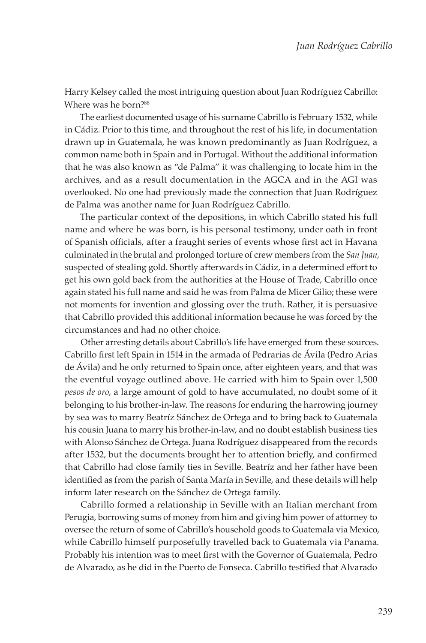Harry Kelsey called the most intriguing question about Juan Rodríguez Cabrillo: Where was he born?<sup>88</sup>

The earliest documented usage of his surname Cabrillo is February 1532, while in Cádiz. Prior to this time, and throughout the rest of his life, in documentation drawn up in Guatemala, he was known predominantly as Juan Rodríguez, a common name both in Spain and in Portugal. Without the additional information that he was also known as "de Palma" it was challenging to locate him in the archives, and as a result documentation in the AGCA and in the AGI was overlooked. No one had previously made the connection that Juan Rodríguez de Palma was another name for Juan Rodríguez Cabrillo.

The particular context of the depositions, in which Cabrillo stated his full name and where he was born, is his personal testimony, under oath in front of Spanish officials, after a fraught series of events whose first act in Havana culminated in the brutal and prolonged torture of crew members from the *San Juan,* suspected of stealing gold. Shortly afterwards in Cádiz, in a determined effort to get his own gold back from the authorities at the House of Trade, Cabrillo once again stated his full name and said he was from Palma de Micer Gilio; these were not moments for invention and glossing over the truth. Rather, it is persuasive that Cabrillo provided this additional information because he was forced by the circumstances and had no other choice.

Other arresting details about Cabrillo's life have emerged from these sources. Cabrillo first left Spain in 1514 in the armada of Pedrarias de Ávila (Pedro Arias de Ávila) and he only returned to Spain once, after eighteen years, and that was the eventful voyage outlined above. He carried with him to Spain over 1,500 *pesos de oro*, a large amount of gold to have accumulated, no doubt some of it belonging to his brother-in-law. The reasons for enduring the harrowing journey by sea was to marry Beatríz Sánchez de Ortega and to bring back to Guatemala his cousin Juana to marry his brother-in-law, and no doubt establish business ties with Alonso Sánchez de Ortega. Juana Rodríguez disappeared from the records after 1532, but the documents brought her to attention briefly, and confirmed that Cabrillo had close family ties in Seville. Beatríz and her father have been identified as from the parish of Santa María in Seville, and these details will help inform later research on the Sánchez de Ortega family.

Cabrillo formed a relationship in Seville with an Italian merchant from Perugia, borrowing sums of money from him and giving him power of attorney to oversee the return of some of Cabrillo's household goods to Guatemala via Mexico, while Cabrillo himself purposefully travelled back to Guatemala via Panama. Probably his intention was to meet first with the Governor of Guatemala, Pedro de Alvarado, as he did in the Puerto de Fonseca. Cabrillo testified that Alvarado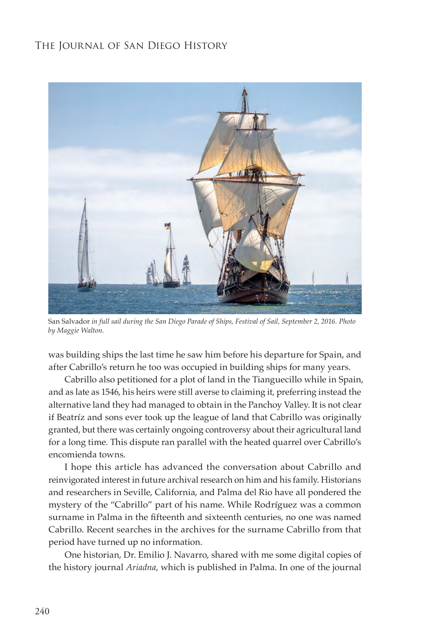

San Salvador *in full sail during the San Diego Parade of Ships, Festival of Sail, September 2, 2016. Photo by Maggie Walton.*

was building ships the last time he saw him before his departure for Spain, and after Cabrillo's return he too was occupied in building ships for many years.

Cabrillo also petitioned for a plot of land in the Tianguecillo while in Spain, and as late as 1546, his heirs were still averse to claiming it, preferring instead the alternative land they had managed to obtain in the Panchoy Valley. It is not clear if Beatríz and sons ever took up the league of land that Cabrillo was originally granted, but there was certainly ongoing controversy about their agricultural land for a long time. This dispute ran parallel with the heated quarrel over Cabrillo's encomienda towns.

I hope this article has advanced the conversation about Cabrillo and reinvigorated interest in future archival research on him and his family. Historians and researchers in Seville, California, and Palma del Rio have all pondered the mystery of the "Cabrillo" part of his name. While Rodríguez was a common surname in Palma in the fifteenth and sixteenth centuries, no one was named Cabrillo. Recent searches in the archives for the surname Cabrillo from that period have turned up no information.

One historian, Dr. Emilio J. Navarro, shared with me some digital copies of the history journal *Ariadna*, which is published in Palma. In one of the journal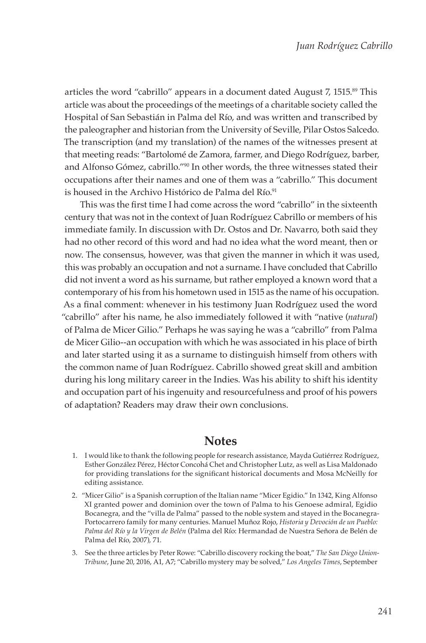articles the word "cabrillo" appears in a document dated August 7, 1515.<sup>89</sup> This article was about the proceedings of the meetings of a charitable society called the Hospital of San Sebastián in Palma del Río, and was written and transcribed by the paleographer and historian from the University of Seville, Pilar Ostos Salcedo. The transcription (and my translation) of the names of the witnesses present at that meeting reads: "Bartolomé de Zamora, farmer, and Diego Rodríguez, barber, and Alfonso Gómez, cabrillo."90 In other words, the three witnesses stated their occupations after their names and one of them was a "cabrillo." This document is housed in the Archivo Histórico de Palma del Río.<sup>91</sup>

This was the first time I had come across the word "cabrillo" in the sixteenth century that was not in the context of Juan Rodríguez Cabrillo or members of his immediate family. In discussion with Dr. Ostos and Dr. Navarro, both said they had no other record of this word and had no idea what the word meant, then or now. The consensus, however, was that given the manner in which it was used, this was probably an occupation and not a surname. I have concluded that Cabrillo did not invent a word as his surname, but rather employed a known word that a contemporary of his from his hometown used in 1515 as the name of his occupation. As a final comment: whenever in his testimony Juan Rodríguez used the word "cabrillo" after his name, he also immediately followed it with "native (*natural*) of Palma de Micer Gilio." Perhaps he was saying he was a "cabrillo" from Palma de Micer Gilio--an occupation with which he was associated in his place of birth and later started using it as a surname to distinguish himself from others with the common name of Juan Rodríguez. Cabrillo showed great skill and ambition during his long military career in the Indies. Was his ability to shift his identity and occupation part of his ingenuity and resourcefulness and proof of his powers of adaptation? Readers may draw their own conclusions.

# **Notes**

- 1. I would like to thank the following people for research assistance, Mayda Gutiérrez Rodríguez, Esther González Pérez, Héctor Concohá Chet and Christopher Lutz, as well as Lisa Maldonado for providing translations for the significant historical documents and Mosa McNeilly for editing assistance.
- 2. "Micer Gilio" is a Spanish corruption of the Italian name "Micer Egidio." In 1342, King Alfonso XI granted power and dominion over the town of Palma to his Genoese admiral, Egidio Bocanegra, and the "villa de Palma" passed to the noble system and stayed in the Bocanegra-Portocarrero family for many centuries. Manuel Muñoz Rojo, *Historia y Devoción de un Pueblo: Palma del Río y la Virgen de Belén* (Palma del Río: Hermandad de Nuestra Señora de Belén de Palma del Río, 2007), 71.
- 3. See the three articles by Peter Rowe: "Cabrillo discovery rocking the boat," *The San Diego Union-Tribune*, June 20, 2016, A1, A7; "Cabrillo mystery may be solved," *Los Angeles Times*, September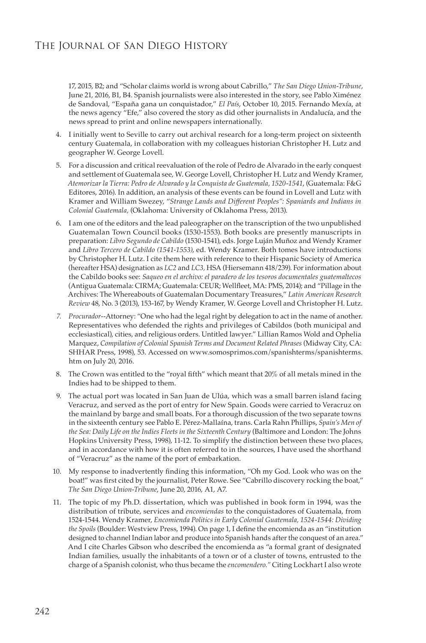17, 2015, B2; and "Scholar claims world is wrong about Cabrillo," *The San Diego Union-Tribune*, June 21, 2016, B1, B4. Spanish journalists were also interested in the story, see Pablo Ximénez de Sandoval, "España gana un conquistador," *El País*, October 10, 2015. Fernando Mexía, at the news agency "Efe," also covered the story as did other journalists in Andalucía, and the news spread to print and online newspapers internationally.

- 4. I initially went to Seville to carry out archival research for a long-term project on sixteenth century Guatemala, in collaboration with my colleagues historian Christopher H. Lutz and geographer W. George Lovell.
- 5. For a discussion and critical reevaluation of the role of Pedro de Alvarado in the early conquest and settlement of Guatemala see, W. George Lovell, Christopher H. Lutz and Wendy Kramer, *Atemorizar la Tierra: Pedro de Alvarado y la Conquista de Guatemala, 1520-1541*, (Guatemala: F&G Editores, 2016). In addition, an analysis of these events can be found in Lovell and Lutz with Kramer and William Swezey, "*Strange Lands and Different Peoples": Spaniards and Indians in Colonial Guatemala,* (Oklahoma: University of Oklahoma Press, 2013).
- 6. I am one of the editors and the lead paleographer on the transcription of the two unpublished Guatemalan Town Council books (1530-1553). Both books are presently manuscripts in preparation: *Libro Segundo de Cabildo* (1530-1541), eds. Jorge Luján Muñoz and Wendy Kramer and *Libro Tercero de Cabildo (1541-1553)*, ed. Wendy Kramer. Both tomes have introductions by Christopher H. Lutz. I cite them here with reference to their Hispanic Society of America (hereafter HSA) designation as *LC2* and *LC3,* HSA (Hiersemann 418/239). For information about the Cabildo books see: *Saqueo en el archivo: el paradero de los tesoros documentales guatemaltecos* (Antigua Guatemala: CIRMA; Guatemala: CEUR; Wellfleet, MA: PMS, 2014); and "Pillage in the Archives: The Whereabouts of Guatemalan Documentary Treasures," *Latin American Research Review* 48, No. 3 (2013), 153-167, by Wendy Kramer, W. George Lovell and Christopher H. Lutz.
- *7. Procurador*--Attorney: "One who had the legal right by delegation to act in the name of another. Representatives who defended the rights and privileges of Cabildos (both municipal and ecclesiastical), cities, and religious orders. Untitled lawyer." Lillian Ramos Wold and Ophelia Marquez, *Compilation of Colonial Spanish Terms and Document Related Phrases* (Midway City, CA: SHHAR Press, 1998), 53. Accessed on www.somosprimos.com/spanishterms/spanishterms. htm on July 20, 2016.
- 8. The Crown was entitled to the "royal fifth" which meant that 20% of all metals mined in the Indies had to be shipped to them.
- 9. The actual port was located in San Juan de Ulúa, which was a small barren island facing Veracruz, and served as the port of entry for New Spain. Goods were carried to Veracruz on the mainland by barge and small boats. For a thorough discussion of the two separate towns in the sixteenth century see Pablo E. Pérez-Mallaína, trans. Carla Rahn Phillips, *Spain's Men of the Sea: Daily Life on the Indies Fleets in the Sixteenth Century* (Baltimore and London: The Johns Hopkins University Press, 1998), 11-12. To simplify the distinction between these two places, and in accordance with how it is often referred to in the sources, I have used the shorthand of "Veracruz" as the name of the port of embarkation.
- 10. My response to inadvertently finding this information, "Oh my God. Look who was on the boat!" was first cited by the journalist, Peter Rowe. See "Cabrillo discovery rocking the boat," *The San Diego Union-Tribune*, June 20, 2016, A1, A7.
- 11. The topic of my Ph.D. dissertation, which was published in book form in 1994, was the distribution of tribute, services and *encomiendas* to the conquistadores of Guatemala, from 1524-1544. Wendy Kramer, *Encomienda Politics in Early Colonial Guatemala, 1524-1544: Dividing the Spoils* (Boulder: Westview Press, 1994). On page 1, I define the encomienda as an "institution designed to channel Indian labor and produce into Spanish hands after the conquest of an area." And I cite Charles Gibson who described the encomienda as "a formal grant of designated Indian families, usually the inhabitants of a town or of a cluster of towns, entrusted to the charge of a Spanish colonist, who thus became the *encomendero."* Citing Lockhart I also wrote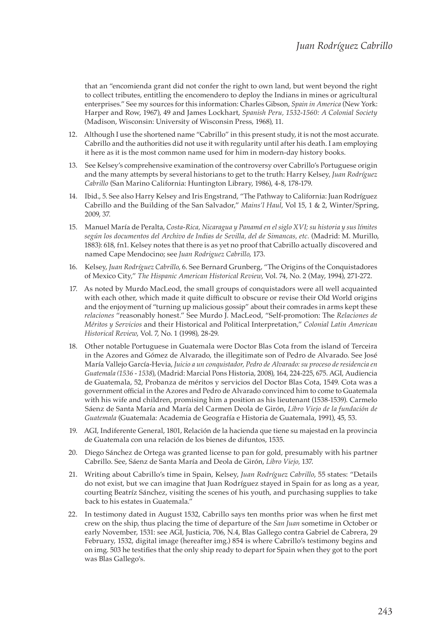that an "encomienda grant did not confer the right to own land, but went beyond the right to collect tributes, entitling the encomendero to deploy the Indians in mines or agricultural enterprises." See my sources for this information: Charles Gibson, *Spain in America* (New York: Harper and Row, 1967), 49 and James Lockhart, *Spanish Peru, 1532-1560: A Colonial Society* (Madison, Wisconsin: University of Wisconsin Press, 1968), 11.

- 12. Although I use the shortened name "Cabrillo" in this present study, it is not the most accurate. Cabrillo and the authorities did not use it with regularity until after his death. I am employing it here as it is the most common name used for him in modern-day history books.
- 13. See Kelsey's comprehensive examination of the controversy over Cabrillo's Portuguese origin and the many attempts by several historians to get to the truth: Harry Kelsey, *Juan Rodríguez Cabrillo* (San Marino California: Huntington Library, 1986), 4-8, 178-179.
- 14. Ibid., 5. See also Harry Kelsey and Iris Engstrand, "The Pathway to California: Juan Rodríguez Cabrillo and the Building of the San Salvador," *Mains'l Haul*, Vol 15, 1 & 2, Winter/Spring, 2009, 37.
- 15. Manuel María de Peralta, *Costa-Rica, Nicaragua y Panamá en el siglo XVI; su historia y sus límites según los documentos del Archivo de Indias de Sevilla, del de Simancas, etc.* (Madrid: M. Murillo, 1883): 618, fn1. Kelsey notes that there is as yet no proof that Cabrillo actually discovered and named Cape Mendocino; see *Juan Rodriguez Cabrillo*, 173.
- 16. Kelsey, *Juan Rodríguez Cabrillo*, 6. See Bernard Grunberg, "The Origins of the Conquistadores of Mexico City," *The Hispanic American Historical Review*, Vol. 74, No. 2 (May, 1994), 271-272.
- 17. As noted by Murdo MacLeod, the small groups of conquistadors were all well acquainted with each other, which made it quite difficult to obscure or revise their Old World origins and the enjoyment of "turning up malicious gossip" about their comrades in arms kept these *relaciones* "reasonably honest." See Murdo J. MacLeod, "Self-promotion: The *Relaciones de Méritos y Servicios* and their Historical and Political Interpretation," *Colonial Latin American Historical Review*, Vol. 7, No. 1 (1998), 28-29.
- 18. Other notable Portuguese in Guatemala were Doctor Blas Cota from the island of Terceira in the Azores and Gómez de Alvarado, the illegitimate son of Pedro de Alvarado. See José María Vallejo García-Hevia, *Juicio a un conquistador, Pedro de Alvarado: su proceso de residencia en Guatemala (1536 - 1538*), (Madrid: Marcial Pons Historia, 2008), 164, 224-225, 675. AGI, Audiencia de Guatemala, 52, Probanza de méritos y servicios del Doctor Blas Cota, 1549. Cota was a government official in the Azores and Pedro de Alvarado convinced him to come to Guatemala with his wife and children, promising him a position as his lieutenant (1538-1539). Carmelo Sáenz de Santa María and María del Carmen Deola de Girón, *Libro Viejo de la fundación de Guatemala* (Guatemala: Academia de Geografía e Historia de Guatemala, 1991), 45, 53.
- 19. AGI, Indiferente General, 1801, Relación de la hacienda que tiene su majestad en la provincia de Guatemala con una relación de los bienes de difuntos, 1535.
- 20. Diego Sánchez de Ortega was granted license to pan for gold, presumably with his partner Cabrillo. See, Sáenz de Santa María and Deola de Girón, *Libro Viejo,* 137.
- 21. Writing about Cabrillo's time in Spain, Kelsey, *Juan Rodríguez Cabrillo*, 55 states: "Details do not exist, but we can imagine that Juan Rodríguez stayed in Spain for as long as a year, courting Beatríz Sánchez, visiting the scenes of his youth, and purchasing supplies to take back to his estates in Guatemala."
- 22. In testimony dated in August 1532, Cabrillo says ten months prior was when he first met crew on the ship, thus placing the time of departure of the *San Juan* sometime in October or early November, 1531: see AGI, Justicia, 706, N.4, Blas Gallego contra Gabriel de Cabrera, 29 February, 1532, digital image (hereafter img.) 854 is where Cabrillo's testimony begins and on img. 503 he testifies that the only ship ready to depart for Spain when they got to the port was Blas Gallego's.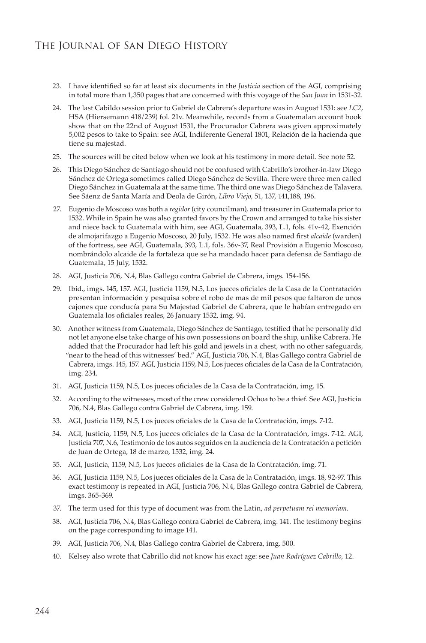- 23. I have identified so far at least six documents in the *Justicia* section of the AGI, comprising in total more than 1,350 pages that are concerned with this voyage of the *San Juan* in 1531-32.
- 24. The last Cabildo session prior to Gabriel de Cabrera's departure was in August 1531: see *LC2*, HSA (Hiersemann 418/239) fol. 21v. Meanwhile, records from a Guatemalan account book show that on the 22nd of August 1531, the Procurador Cabrera was given approximately 5,002 pesos to take to Spain: see AGI, Indiferente General 1801, Relación de la hacienda que tiene su majestad.
- 25. The sources will be cited below when we look at his testimony in more detail. See note 52.
- 26. This Diego Sánchez de Santiago should not be confused with Cabrillo's brother-in-law Diego Sánchez de Ortega sometimes called Diego Sánchez de Sevilla. There were three men called Diego Sánchez in Guatemala at the same time. The third one was Diego Sánchez de Talavera. See Sáenz de Santa María and Deola de Girón, *Libro Viejo,* 51, 137, 141,188, 196.
- 27. Eugenio de Moscoso was both a *regidor* (city councilman), and treasurer in Guatemala prior to 1532. While in Spain he was also granted favors by the Crown and arranged to take his sister and niece back to Guatemala with him, see AGI, Guatemala, 393, L.1, fols. 41v-42, Exención de almojarifazgo a Eugenio Moscoso, 20 July, 1532. He was also named first *alcaide* (warden) of the fortress, see AGI, Guatemala, 393, L.1, fols. 36v-37, Real Provisión a Eugenio Moscoso, nombrándolo alcaide de la fortaleza que se ha mandado hacer para defensa de Santiago de Guatemala, 15 July, 1532.
- 28. AGI, Justicia 706, N.4, Blas Gallego contra Gabriel de Cabrera, imgs. 154-156.
- 29. Ibid., imgs. 145, 157. AGI, Justicia 1159, N.5, Los jueces oficiales de la Casa de la Contratación presentan información y pesquisa sobre el robo de mas de mil pesos que faltaron de unos cajones que conducía para Su Majestad Gabriel de Cabrera, que le habían entregado en Guatemala los oficiales reales, 26 January 1532, img. 94.
- 30. Another witness from Guatemala, Diego Sánchez de Santiago, testified that he personally did not let anyone else take charge of his own possessions on board the ship, unlike Cabrera. He added that the Procurador had left his gold and jewels in a chest, with no other safeguards, "near to the head of this witnesses' bed." AGI, Justicia 706, N.4, Blas Gallego contra Gabriel de Cabrera, imgs. 145, 157. AGI, Justicia 1159, N.5, Los jueces oficiales de la Casa de la Contratación, img. 234.
- 31. AGI, Justicia 1159, N.5, Los jueces oficiales de la Casa de la Contratación, img. 15.
- 32. According to the witnesses, most of the crew considered Ochoa to be a thief. See AGI, Justicia 706, N.4, Blas Gallego contra Gabriel de Cabrera, img. 159.
- 33. AGI, Justicia 1159, N.5, Los jueces oficiales de la Casa de la Contratación, imgs. 7-12.
- 34. AGI, Justicia, 1159, N.5, Los jueces oficiales de la Casa de la Contratación, imgs. 7-12. AGI, Justicia 707, N.6, Testimonio de los autos seguidos en la audiencia de la Contratación a petición de Juan de Ortega, 18 de marzo, 1532, img. 24.
- 35. AGI, Justicia, 1159, N.5, Los jueces oficiales de la Casa de la Contratación, img. 71.
- 36. AGI, Justicia 1159, N.5, Los jueces oficiales de la Casa de la Contratación, imgs. 18, 92-97. This exact testimony is repeated in AGI, Justicia 706, N.4, Blas Gallego contra Gabriel de Cabrera, imgs. 365-369.
- 37. The term used for this type of document was from the Latin, *ad perpetuam rei memoriam*.
- 38. AGI, Justicia 706, N.4, Blas Gallego contra Gabriel de Cabrera, img. 141. The testimony begins on the page corresponding to image 141.
- 39. AGI, Justicia 706, N.4, Blas Gallego contra Gabriel de Cabrera, img. 500.
- 40. Kelsey also wrote that Cabrillo did not know his exact age: see *Juan Rodríguez Cabrillo*, 12.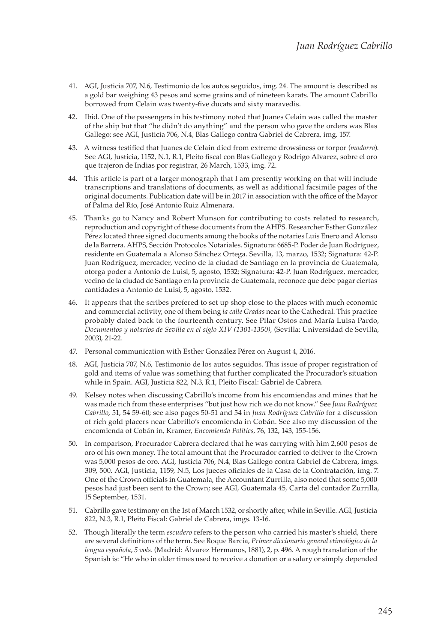- 41. AGI, Justicia 707, N.6, Testimonio de los autos seguidos, img. 24. The amount is described as a gold bar weighing 43 pesos and some grains and of nineteen karats. The amount Cabrillo borrowed from Celain was twenty-five ducats and sixty maravedis.
- 42. Ibid. One of the passengers in his testimony noted that Juanes Celain was called the master of the ship but that "he didn't do anything" and the person who gave the orders was Blas Gallego; see AGI, Justicia 706, N.4, Blas Gallego contra Gabriel de Cabrera, img. 157.
- 43. A witness testified that Juanes de Celain died from extreme drowsiness or torpor (*modorra*). See AGI, Justicia, 1152, N.1, R.1, Pleito fiscal con Blas Gallego y Rodrigo Alvarez, sobre el oro que trajeron de Indias por registrar, 26 March, 1533, img. 72.
- 44. This article is part of a larger monograph that I am presently working on that will include transcriptions and translations of documents, as well as additional facsimile pages of the original documents. Publication date will be in 2017 in association with the office of the Mayor of Palma del Río, José Antonio Ruiz Almenara.
- 45. Thanks go to Nancy and Robert Munson for contributing to costs related to research, reproduction and copyright of these documents from the AHPS. Researcher Esther González Pérez located three signed documents among the books of the notaries Luis Enero and Alonso de la Barrera. AHPS, Sección Protocolos Notariales. Signatura: 6685-P. Poder de Juan Rodríguez, residente en Guatemala a Alonso Sánchez Ortega. Sevilla, 13, marzo, 1532; Signatura: 42-P. Juan Rodríguez, mercader, vecino de la ciudad de Santiago en la provincia de Guatemala, otorga poder a Antonio de Luisi, 5, agosto, 1532; Signatura: 42-P. Juan Rodríguez, mercader, vecino de la ciudad de Santiago en la provincia de Guatemala, reconoce que debe pagar ciertas cantidades a Antonio de Luisi, 5, agosto, 1532.
- 46. It appears that the scribes prefered to set up shop close to the places with much economic and commercial activity, one of them being *la calle Gradas* near to the Cathedral. This practice probably dated back to the fourteenth century. See Pilar Ostos and María Luisa Pardo, *Documentos y notarios de Sevilla en el siglo XIV (1301-1350),* (Sevilla: Universidad de Sevilla, 2003), 21-22.
- 47. Personal communication with Esther González Pérez on August 4, 2016.
- 48. AGI, Justicia 707, N.6, Testimonio de los autos seguidos. This issue of proper registration of gold and items of value was something that further complicated the Procurador's situation while in Spain. AGI, Justicia 822, N.3, R.1, Pleito Fiscal: Gabriel de Cabrera.
- 49. Kelsey notes when discussing Cabrillo's income from his encomiendas and mines that he was made rich from these enterprises "but just how rich we do not know." See *Juan Rodríguez Cabrillo*, 51, 54 59-60; see also pages 50-51 and 54 in *Juan Rodríguez Cabrillo* for a discussion of rich gold placers near Cabrillo's encomienda in Cobán. See also my discussion of the encomienda of Cobán in, Kramer, *Encomienda Politics,* 76, 132, 143, 155-156.
- 50. In comparison, Procurador Cabrera declared that he was carrying with him 2,600 pesos de oro of his own money. The total amount that the Procurador carried to deliver to the Crown was 5,000 pesos de oro. AGI, Justicia 706, N.4, Blas Gallego contra Gabriel de Cabrera, imgs. 309, 500. AGI, Justicia, 1159, N.5, Los jueces oficiales de la Casa de la Contratación, img. 7. One of the Crown officials in Guatemala, the Accountant Zurrilla, also noted that some 5,000 pesos had just been sent to the Crown; see AGI, Guatemala 45, Carta del contador Zurrilla, 15 September, 1531.
- 51. Cabrillo gave testimony on the 1st of March 1532, or shortly after, while in Seville. AGI, Justicia 822, N.3, R.1, Pleito Fiscal: Gabriel de Cabrera, imgs. 13-16.
- 52. Though literally the term *escudero* refers to the person who carried his master's shield, there are several definitions of the term. See Roque Barcia, *Primer diccionario general etimológico de la lengua española*, *5 vols.* (Madrid: Álvarez Hermanos, 1881), 2, p. 496. A rough translation of the Spanish is: "He who in older times used to receive a donation or a salary or simply depended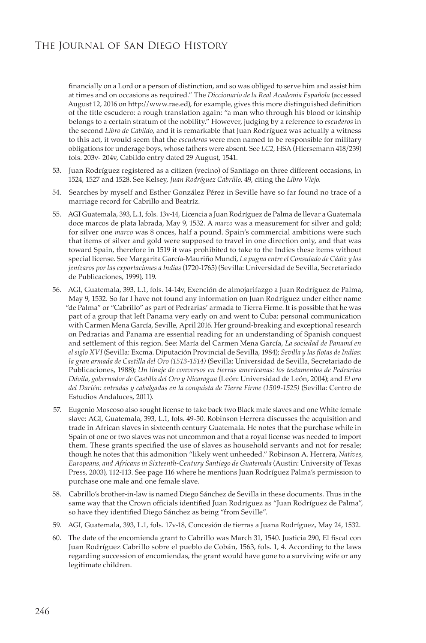financially on a Lord or a person of distinction, and so was obliged to serve him and assist him at times and on occasions as required." The *Diccionario de la Real Academia Española* (accessed August 12, 2016 on http://www.rae.ed), for example, gives this more distinguished definition of the title escudero: a rough translation again: "a man who through his blood or kinship belongs to a certain stratum of the nobility." However, judging by a reference to *escuderos* in the second *Libro de Cabildo*, and it is remarkable that Juan Rodríguez was actually a witness to this act, it would seem that the *escuderos* were men named to be responsible for military obligations for underage boys, whose fathers were absent. See *LC2,* HSA (Hiersemann 418/239) fols. 203v- 204v, Cabildo entry dated 29 August, 1541.

- 53. Juan Rodríguez registered as a citizen (vecino) of Santiago on three different occasions, in 1524, 1527 and 1528. See Kelsey, *Juan Rodríguez Cabrillo,* 49, citing the *Libro Viejo*.
- 54. Searches by myself and Esther González Pérez in Seville have so far found no trace of a marriage record for Cabrillo and Beatríz.
- 55. AGI Guatemala, 393, L.1, fols. 13v-14, Licencia a Juan Rodríguez de Palma de llevar a Guatemala doce marcos de plata labrada, May 9, 1532. A *marco* was a measurement for silver and gold; for silver one *marco* was 8 onces, half a pound. Spain's commercial ambitions were such that items of silver and gold were supposed to travel in one direction only, and that was toward Spain, therefore in 1519 it was prohibited to take to the Indies these items without special license. See Margarita García-Mauriño Mundi, *La pugna entre el Consulado de Cádiz y los jenízaros por las exportaciones a Indias* (1720-1765) (Sevilla: Universidad de Sevilla, Secretariado de Publicaciones, 1999), 119.
- 56. AGI, Guatemala, 393, L.1, fols. 14-14v, Exención de almojarifazgo a Juan Rodríguez de Palma, May 9, 1532. So far I have not found any information on Juan Rodríguez under either name "de Palma" or "Cabrillo" as part of Pedrarias' armada to Tierra Firme. It is possible that he was part of a group that left Panama very early on and went to Cuba: personal communication with Carmen Mena García, Seville, April 2016. Her ground-breaking and exceptional research on Pedrarias and Panama are essential reading for an understanding of Spanish conquest and settlement of this region. See: María del Carmen Mena García, *La sociedad de Panamá en el siglo XVI* (Sevilla: Excma. Diputación Provincial de Sevilla, 1984); *Sevilla y las flotas de Indias: la gran armada de Castilla del Oro (1513-1514)* (Sevilla: Universidad de Sevilla, Secretariado de Publicaciones, 1988); *Un linaje de conversos en tierras americanas: los testamentos de Pedrarias Dávila, gobernador de Castilla del Oro y Nicaragua* (León: Universidad de León, 2004); and *El oro del Darién: entradas y cabalgadas en la conquista de Tierra Firme (1509-1525)* (Sevilla: Centro de Estudios Andaluces, 2011).
- 57. Eugenio Moscoso also sought license to take back two Black male slaves and one White female slave: AGI, Guatemala, 393, L.1, fols. 49-50. Robinson Herrera discusses the acquisition and trade in African slaves in sixteenth century Guatemala. He notes that the purchase while in Spain of one or two slaves was not uncommon and that a royal license was needed to import them. These grants specified the use of slaves as household servants and not for resale; though he notes that this admonition "likely went unheeded." Robinson A. Herrera, *Natives, Europeans, and Africans in Sixteenth-Century Santiago de Guatemala* (Austin: University of Texas Press, 2003), 112-113. See page 116 where he mentions Juan Rodríguez Palma's permission to purchase one male and one female slave.
- 58. Cabrillo's brother-in-law is named Diego Sánchez de Sevilla in these documents. Thus in the same way that the Crown officials identified Juan Rodríguez as "Juan Rodríguez de Palma", so have they identified Diego Sánchez as being "from Seville".
- 59. AGI, Guatemala, 393, L.1, fols. 17v-18, Concesión de tierras a Juana Rodríguez, May 24, 1532.
- 60. The date of the encomienda grant to Cabrillo was March 31, 1540. Justicia 290, El fiscal con Juan Rodríguez Cabrillo sobre el pueblo de Cobán, 1563, fols. 1, 4. According to the laws regarding succession of encomiendas, the grant would have gone to a surviving wife or any legitimate children.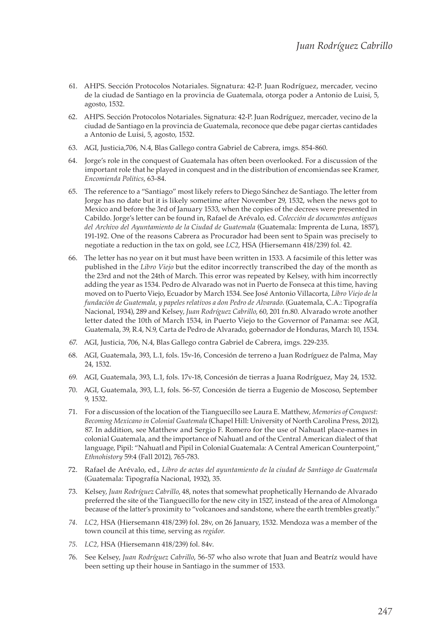- 61. AHPS. Sección Protocolos Notariales. Signatura: 42-P. Juan Rodríguez, mercader, vecino de la ciudad de Santiago en la provincia de Guatemala, otorga poder a Antonio de Luisi, 5, agosto, 1532.
- 62. AHPS. Sección Protocolos Notariales. Signatura: 42-P. Juan Rodríguez, mercader, vecino de la ciudad de Santiago en la provincia de Guatemala, reconoce que debe pagar ciertas cantidades a Antonio de Luisi, 5, agosto, 1532.
- 63. AGI, Justicia,706, N.4, Blas Gallego contra Gabriel de Cabrera, imgs. 854-860.
- 64. Jorge's role in the conquest of Guatemala has often been overlooked. For a discussion of the important role that he played in conquest and in the distribution of encomiendas see Kramer, *Encomienda Politics*, 63-84.
- 65. The reference to a "Santiago" most likely refers to Diego Sánchez de Santiago. The letter from Jorge has no date but it is likely sometime after November 29, 1532, when the news got to Mexico and before the 3rd of January 1533, when the copies of the decrees were presented in Cabildo. Jorge's letter can be found in, Rafael de Arévalo, ed. *Colección de documentos antiguos del Archivo del Ayuntamiento de la Ciudad de Guatemala* (Guatemala: Imprenta de Luna, 1857), 191-192. One of the reasons Cabrera as Procurador had been sent to Spain was precisely to negotiate a reduction in the tax on gold, see *LC2*, HSA (Hiersemann 418/239) fol. 42.
- 66. The letter has no year on it but must have been written in 1533. A facsimile of this letter was published in the *Libro Viejo* but the editor incorrectly transcribed the day of the month as the 23rd and not the 24th of March. This error was repeated by Kelsey, with him incorrectly adding the year as 1534. Pedro de Alvarado was not in Puerto de Fonseca at this time, having moved on to Puerto Viejo, Ecuador by March 1534. See José Antonio Villacorta, *Libro Viejo de la fundación de Guatemala, y papeles relativos a don Pedro de Alvarado*. (Guatemala, C.A.: Tipografía Nacional, 1934), 289 and Kelsey, *Juan Rodríguez Cabrillo*, 60, 201 fn.80. Alvarado wrote another letter dated the 10th of March 1534, in Puerto Viejo to the Governor of Panama: see AGI, Guatemala, 39, R.4, N.9, Carta de Pedro de Alvarado, gobernador de Honduras, March 10, 1534.
- 67. AGI, Justicia, 706, N.4, Blas Gallego contra Gabriel de Cabrera, imgs. 229-235.
- 68. AGI, Guatemala, 393, L.1, fols. 15v-16, Concesión de terreno a Juan Rodríguez de Palma, May 24, 1532.
- 69. AGI, Guatemala, 393, L.1, fols. 17v-18, Concesión de tierras a Juana Rodríguez, May 24, 1532.
- 70. AGI, Guatemala, 393, L.1, fols. 56-57, Concesión de tierra a Eugenio de Moscoso, September 9, 1532.
- 71. For a discussion of the location of the Tianguecillo see Laura E. Matthew, *Memories of Conquest: Becoming Mexicano in Colonial Guatemala* (Chapel Hill: University of North Carolina Press, 2012), 87. In addition, see Matthew and Sergio F. Romero for the use of Nahuatl place-names in colonial Guatemala, and the importance of Nahuatl and of the Central American dialect of that language, Pipil: "Nahuatl and Pipil in Colonial Guatemala: A Central American Counterpoint," *Ethnohistory* 59:4 (Fall 2012), 765-783.
- 72. Rafael de Arévalo, ed., *Libro de actas del ayuntamiento de la ciudad de Santiago de Guatemala*  (Guatemala: Tipografía Nacional, 1932), 35.
- 73. Kelsey, *Juan Rodríguez Cabrillo*, 48, notes that somewhat prophetically Hernando de Alvarado preferred the site of the Tianguecillo for the new city in 1527, instead of the area of Almolonga because of the latter's proximity to "volcanoes and sandstone, where the earth trembles greatly."
- *74. LC2,* HSA (Hiersemann 418/239) fol. 28v, on 26 January, 1532. Mendoza was a member of the town council at this time, serving as *regidor.*
- *75. LC2,* HSA (Hiersemann 418/239) fol. 84v.
- 76. See Kelsey, *Juan Rodríguez Cabrillo*, 56-57 who also wrote that Juan and Beatríz would have been setting up their house in Santiago in the summer of 1533.